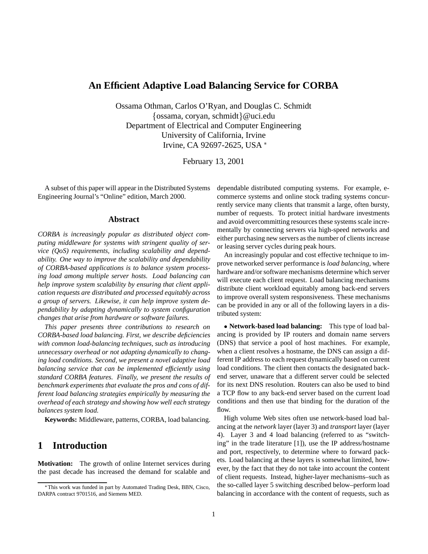### **An Efficient Adaptive Load Balancing Service for CORBA**

Ossama Othman, Carlos O'Ryan, and Douglas C. Schmidt  $\{\oslash$ ssama, coryan, schmidt $\}\omega$ uci.edu Department of Electrical and Computer Engineering University of California, Irvine Irvine, CA 92697-2625, USA \*

February 13, 2001

A subset of this paper will appear in the Distributed Systems Engineering Journal's "Online" edition, March 2000.

#### **Abstract**

*CORBA is increasingly popular as distributed object computing middleware for systems with stringent quality of service (QoS) requirements, including scalability and dependability. One way to improve the scalability and dependability of CORBA-based applications is to balance system processing load among multiple server hosts. Load balancing can help improve system scalability by ensuring that client application requests are distributed and processed equitably across a group of servers. Likewise, it can help improve system dependability by adapting dynamically to system configuration changes that arise from hardware or software failures.*

*This paper presents three contributions to research on CORBA-based load balancing. First, we describe deficiencies with common load-balancing techniques, such as introducing unnecessary overhead or not adapting dynamically to changing load conditions. Second, we present a novel adaptive load balancing service that can be implemented efficiently using standard CORBA features. Finally, we present the results of benchmark experiments that evaluate the pros and cons of different load balancing strategies empirically by measuring the overhead of each strategy and showing how well each strategy balances system load.*

**Keywords:** Middleware, patterns, CORBA, load balancing.

### **1 Introduction**

**Motivation:** The growth of online Internet services during the past decade has increased the demand for scalable and dependable distributed computing systems. For example, ecommerce systems and online stock trading systems concurrently service many clients that transmit a large, often bursty, number of requests. To protect initial hardware investments and avoid overcommitting resources these systems scale incrementally by connecting servers via high-speed networks and either purchasing new servers as the number of clients increase or leasing server cycles during peak hours.

An increasingly popular and cost effective technique to improve networked server performance is *load balancing*, where hardware and/or software mechanisms determine which server will execute each client request. Load balancing mechanisms distribute client workload equitably among back-end servers to improve overall system responsiveness. These mechanisms can be provided in any or all of the following layers in a distributed system:

 **Network-based load balancing:** This type of load balancing is provided by IP routers and domain name servers (DNS) that service a pool of host machines. For example, when a client resolves a hostname, the DNS can assign a different IP address to each request dynamically based on current load conditions. The client then contacts the designated backend server, unaware that a different server could be selected for its next DNS resolution. Routers can also be used to bind a TCP flow to any back-end server based on the current load conditions and then use that binding for the duration of the flow.

High volume Web sites often use network-based load balancing at the *network* layer (layer 3) and *transport* layer (layer 4). Layer 3 and 4 load balancing (referred to as "switching" in the trade literature [1]), use the IP address/hostname and port, respectively, to determine where to forward packets. Load balancing at these layers is somewhat limited, however, by the fact that they do not take into account the content of client requests. Instead, higher-layer mechanisms–such as the so-called layer 5 switching described below–perform load balancing in accordance with the content of requests, such as

This work was funded in part by Automated Trading Desk, BBN, Cisco, DARPA contract 9701516, and Siemens MED.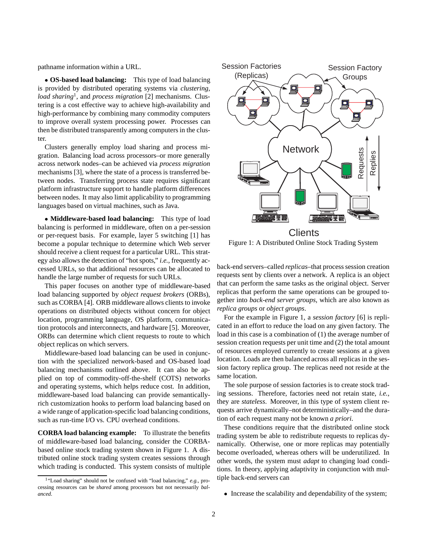pathname information within a URL.

 **OS-based load balancing:** This type of load balancing is provided by distributed operating systems via *clustering*, *load sharing*1, and *process migration* [2] mechanisms. Clustering is a cost effective way to achieve high-availability and high-performance by combining many commodity computers to improve overall system processing power. Processes can then be distributed transparently among computers in the cluster.

Clusters generally employ load sharing and process migration. Balancing load across processors–or more generally across network nodes–can be achieved via *process migration* mechanisms [3], where the state of a process is transferred between nodes. Transferring process state requires significant platform infrastructure support to handle platform differences between nodes. It may also limit applicability to programming languages based on virtual machines, such as Java.

 **Middleware-based load balancing:** This type of load balancing is performed in middleware, often on a per-session or per-request basis. For example, layer 5 switching [1] has become a popular technique to determine which Web server should receive a client request for a particular URL. This strategy also allows the detection of "hot spots," *i.e.*, frequently accessed URLs, so that additional resources can be allocated to handle the large number of requests for such URLs.

This paper focuses on another type of middleware-based load balancing supported by *object request brokers* (ORBs), such as CORBA [4]. ORB middleware allows clients to invoke operations on distributed objects without concern for object location, programming language, OS platform, communication protocols and interconnects, and hardware [5]. Moreover, ORBs can determine which client requests to route to which object replicas on which servers.

Middleware-based load balancing can be used in conjunction with the specialized network-based and OS-based load balancing mechanisms outlined above. It can also be applied on top of commodity-off-the-shelf (COTS) networks and operating systems, which helps reduce cost. In addition, middleware-based load balancing can provide semanticallyrich customization hooks to perform load balancing based on a wide range of application-specific load balancing conditions, such as run-time I/O vs. CPU overhead conditions.

**CORBA load balancing example:** To illustrate the benefits of middleware-based load balancing, consider the CORBAbased online stock trading system shown in Figure 1. A distributed online stock trading system creates sessions through which trading is conducted. This system consists of multiple



Figure 1: A Distributed Online Stock Trading System

back-end servers–called *replicas*–that process session creation requests sent by clients over a network. A replica is an object that can perform the same tasks as the original object. Server replicas that perform the same operations can be grouped together into *back-end server groups*, which are also known as *replica groups* or *object groups*.

For the example in Figure 1, a *session factory* [6] is replicated in an effort to reduce the load on any given factory. The load in this case is a combination of (1) the average number of session creation requests per unit time and (2) the total amount of resources employed currently to create sessions at a given location. Loads are then balanced across all replicas in the session factory replica group. The replicas need not reside at the same location.

The sole purpose of session factories is to create stock trading sessions. Therefore, factories need not retain state, *i.e.*, they are *stateless*. Moreover, in this type of system client requests arrive dynamically–not deterministically–and the duration of each request many not be known *a priori*.

These conditions require that the distributed online stock trading system be able to redistribute requests to replicas dynamically. Otherwise, one or more replicas may potentially become overloaded, whereas others will be underutilized. In other words, the system must *adapt* to changing load conditions. In theory, applying adaptivity in conjunction with multiple back-end servers can

• Increase the scalability and dependability of the system;

<sup>1&</sup>quot;Load sharing" should not be confused with "load balancing," *e.g.*, processing resources can be *shared* among processors but not necessarily *balanced*.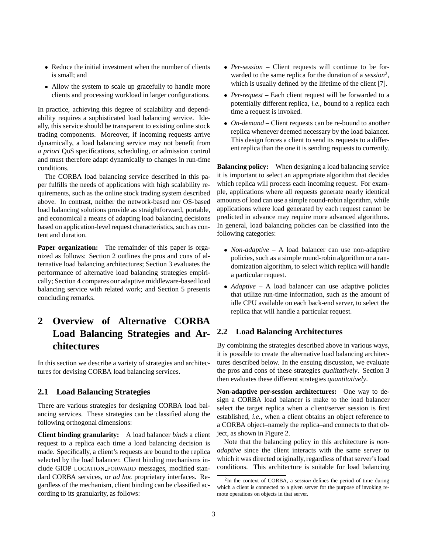- Reduce the initial investment when the number of clients is small; and
- Allow the system to scale up gracefully to handle more clients and processing workload in larger configurations.

In practice, achieving this degree of scalability and dependability requires a sophisticated load balancing service. Ideally, this service should be transparent to existing online stock trading components. Moreover, if incoming requests arrive dynamically, a load balancing service may not benefit from *a priori* QoS specifications, scheduling, or admission control and must therefore adapt dynamically to changes in run-time conditions.

The CORBA load balancing service described in this paper fulfills the needs of applications with high scalability requirements, such as the online stock trading system described above. In contrast, neither the network-based nor OS-based load balancing solutions provide as straightforward, portable, and economical a means of adapting load balancing decisions based on application-level request characteristics, such as content and duration.

**Paper organization:** The remainder of this paper is organized as follows: Section 2 outlines the pros and cons of alternative load balancing architectures; Section 3 evaluates the performance of alternative load balancing strategies empirically; Section 4 compares our adaptive middleware-based load balancing service with related work; and Section 5 presents concluding remarks.

# **2 Overview of Alternative CORBA Load Balancing Strategies and Architectures**

In this section we describe a variety of strategies and architectures for devising CORBA load balancing services.

#### **2.1 Load Balancing Strategies**

There are various strategies for designing CORBA load balancing services. These strategies can be classified along the following orthogonal dimensions:

**Client binding granularity:** A load balancer *binds* a client request to a replica each time a load balancing decision is made. Specifically, a client's requests are bound to the replica selected by the load balancer. Client binding mechanisms include GIOP LOCATION FORWARD messages, modified standard CORBA services, or *ad hoc* proprietary interfaces. Regardless of the mechanism, client binding can be classified according to its granularity, as follows:

- *Per-session* Client requests will continue to be forwarded to the same replica for the duration of a *session*2, which is usually defined by the lifetime of the client [7].
- *Per-request* Each client request will be forwarded to a potentially different replica, *i.e.*, bound to a replica each time a request is invoked.
- *On-demand* Client requests can be re-bound to another replica whenever deemed necessary by the load balancer. This design forces a client to send its requests to a different replica than the one it is sending requests to currently.

**Balancing policy:** When designing a load balancing service it is important to select an appropriate algorithm that decides which replica will process each incoming request. For example, applications where all requests generate nearly identical amounts of load can use a simple round-robin algorithm, while applications where load generated by each request cannot be predicted in advance may require more advanced algorithms. In general, load balancing policies can be classified into the following categories:

- *Non-adaptive* A load balancer can use non-adaptive policies, such as a simple round-robin algorithm or a randomization algorithm, to select which replica will handle a particular request.
- *Adaptive* A load balancer can use adaptive policies that utilize run-time information, such as the amount of idle CPU available on each back-end server, to select the replica that will handle a particular request.

### **2.2 Load Balancing Architectures**

By combining the strategies described above in various ways, it is possible to create the alternative load balancing architectures described below. In the ensuing discussion, we evaluate the pros and cons of these strategies *qualitatively*. Section 3 then evaluates these different strategies *quantitatively*.

**Non-adaptive per-session architectures:** One way to design a CORBA load balancer is make to the load balancer select the target replica when a client/server session is first established, *i.e.*, when a client obtains an object reference to a CORBA object–namely the replica–and connects to that object, as shown in Figure 2.

Note that the balancing policy in this architecture is *nonadaptive* since the client interacts with the same server to which it was directed originally, regardless of that server's load conditions. This architecture is suitable for load balancing

<sup>2</sup>In the context of CORBA, a *session* defines the period of time during which a client is connected to a given server for the purpose of invoking remote operations on objects in that server.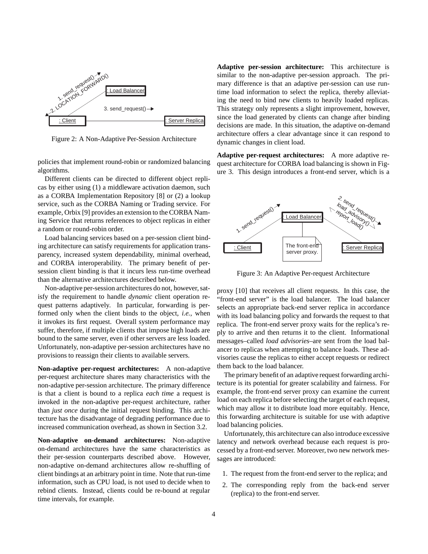

Figure 2: A Non-Adaptive Per-Session Architecture

policies that implement round-robin or randomized balancing algorithms.

Different clients can be directed to different object replicas by either using (1) a middleware activation daemon, such as a CORBA Implementation Repository [8] or (2) a lookup service, such as the CORBA Naming or Trading service. For example, Orbix [9] provides an extension to the CORBA Naming Service that returns references to object replicas in either a random or round-robin order.

Load balancing services based on a per-session client binding architecture can satisfy requirements for application transparency, increased system dependability, minimal overhead, and CORBA interoperability. The primary benefit of persession client binding is that it incurs less run-time overhead than the alternative architectures described below.

Non-adaptive per-session architectures do not, however, satisfy the requirement to handle *dynamic* client operation request patterns adaptively. In particular, forwarding is performed only when the client binds to the object, *i.e.*, when it invokes its first request. Overall system performance may suffer, therefore, if multiple clients that impose high loads are bound to the same server, even if other servers are less loaded. Unfortunately, non-adaptive per-session architectures have no provisions to reassign their clients to available servers.

**Non-adaptive per-request architectures:** A non-adaptive per-request architecture shares many characteristics with the non-adaptive per-session architecture. The primary difference is that a client is bound to a replica *each time* a request is invoked in the non-adaptive per-request architecture, rather than *just once* during the initial request binding. This architecture has the disadvantage of degrading performance due to increased communication overhead, as shown in Section 3.2.

**Non-adaptive on-demand architectures:** Non-adaptive on-demand architectures have the same characteristics as their per-session counterparts described above. However, non-adaptive on-demand architectures allow re-shuffling of client bindings at an arbitrary point in time. Note that run-time information, such as CPU load, is not used to decide when to rebind clients. Instead, clients could be re-bound at regular time intervals, for example.

**Adaptive per-session architecture:** This architecture is similar to the non-adaptive per-session approach. The primary difference is that an adaptive per-session can use runtime load information to select the replica, thereby alleviating the need to bind new clients to heavily loaded replicas. This strategy only represents a slight improvement, however, since the load generated by clients can change after binding decisions are made. In this situation, the adaptive on-demand architecture offers a clear advantage since it can respond to dynamic changes in client load.

**Adaptive per-request architectures:** A more adaptive request architecture for CORBA load balancing is shown in Figure 3. This design introduces a front-end server, which is a



Figure 3: An Adaptive Per-request Architecture

proxy [10] that receives all client requests. In this case, the "front-end server" is the load balancer. The load balancer selects an appropriate back-end server replica in accordance with its load balancing policy and forwards the request to that replica. The front-end server proxy waits for the replica's reply to arrive and then returns it to the client. Informational messages–called *load advisories*–are sent from the load balancer to replicas when attempting to balance loads. These advisories cause the replicas to either accept requests or redirect them back to the load balancer.

The primary benefit of an adaptive request forwarding architecture is its potential for greater scalability and fairness. For example, the front-end server proxy can examine the current load on each replica before selecting the target of each request, which may allow it to distribute load more equitably. Hence, this forwarding architecture is suitable for use with adaptive load balancing policies.

Unfortunately, this architecture can also introduce excessive latency and network overhead because each request is processed by a front-end server. Moreover, two new network messages are introduced:

- 1. The request from the front-end server to the replica; and
- 2. The corresponding reply from the back-end server (replica) to the front-end server.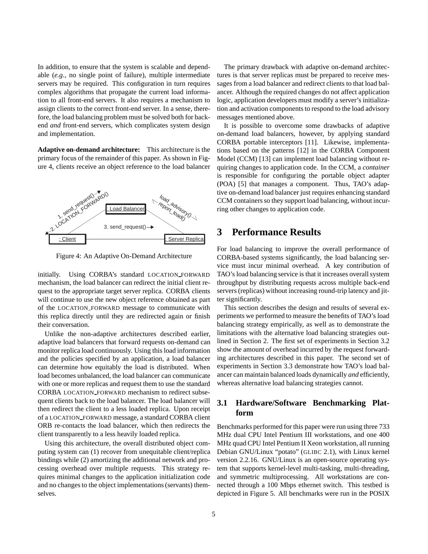In addition, to ensure that the system is scalable and dependable (*e.g.*, no single point of failure), multiple intermediate servers may be required. This configuration in turn requires complex algorithms that propagate the current load information to all front-end servers. It also requires a mechanism to assign clients to the correct front-end server. In a sense, therefore, the load balancing problem must be solved both for backend *and* front-end servers, which complicates system design and implementation.

**Adaptive on-demand architecture:** This architecture is the primary focus of the remainder of this paper. As shown in Figure 4, clients receive an object reference to the load balancer



Figure 4: An Adaptive On-Demand Architecture

initially. Using CORBA's standard LOCATION FORWARD mechanism, the load balancer can redirect the initial client request to the appropriate target server replica. CORBA clients will continue to use the new object reference obtained as part of the LOCATION FORWARD message to communicate with this replica directly until they are redirected again or finish their conversation.

Unlike the non-adaptive architectures described earlier, adaptive load balancers that forward requests on-demand can monitor replica load continuously. Using this load information and the policies specified by an application, a load balancer can determine how equitably the load is distributed. When load becomes unbalanced, the load balancer can communicate with one or more replicas and request them to use the standard CORBA LOCATION FORWARD mechanism to redirect subsequent clients back to the load balancer. The load balancer will then redirect the client to a less loaded replica. Upon receipt of a LOCATION FORWARD message, a standard CORBA client ORB re-contacts the load balancer, which then redirects the client transparently to a less heavily loaded replica.

Using this architecture, the overall distributed object computing system can (1) recover from unequitable client/replica bindings while (2) amortizing the additional network and processing overhead over multiple requests. This strategy requires minimal changes to the application initialization code and no changes to the object implementations (servants) themselves.

The primary drawback with adaptive on-demand architectures is that server replicas must be prepared to receive messages from a load balancer and redirect clients to that load balancer. Although the required changes do not affect application logic, application developers must modify a server's initialization and activation components to respond to the load advisory messages mentioned above.

It is possible to overcome some drawbacks of adaptive on-demand load balancers, however, by applying standard CORBA portable interceptors [11]. Likewise, implementations based on the patterns [12] in the CORBA Component Model (CCM) [13] can implement load balancing without requiring changes to application code. In the CCM, a *container* is responsible for configuring the portable object adapter (POA) [5] that manages a component. Thus, TAO's adaptive on-demand load balancer just requires enhancing standard CCM containers so they support load balancing, without incurring other changes to application code.

# **3 Performance Results**

For load balancing to improve the overall performance of CORBA-based systems significantly, the load balancing service must incur minimal overhead. A key contribution of TAO's load balancing service is that it increases overall system throughput by distributing requests across multiple back-end servers (replicas) without increasing round-trip latency and jitter significantly.

This section describes the design and results of several experiments we performed to measure the benefits of TAO's load balancing strategy empirically, as well as to demonstrate the limitations with the alternative load balancing strategies outlined in Section 2. The first set of experiments in Section 3.2 show the amount of overhead incurred by the request forwarding architectures described in this paper. The second set of experiments in Section 3.3 demonstrate how TAO's load balancer can maintain balanced loads dynamically *and* efficiently, whereas alternative load balancing strategies cannot.

#### **3.1 Hardware/Software Benchmarking Platform**

Benchmarks performed for this paper were run using three 733 MHz dual CPU Intel Pentium III workstations, and one 400 MHz quad CPU Intel Pentium II Xeon workstation, all running Debian GNU/Linux "potato" (GLIBC 2.1), with Linux kernel version 2.2.16. GNU/Linux is an open-source operating system that supports kernel-level multi-tasking, multi-threading, and symmetric multiprocessing. All workstations are connected through a 100 Mbps ethernet switch. This testbed is depicted in Figure 5. All benchmarks were run in the POSIX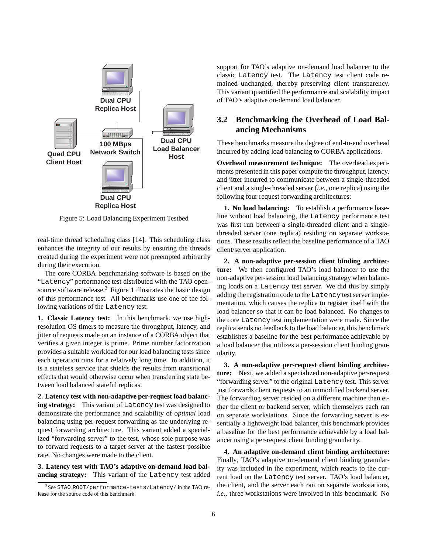

Figure 5: Load Balancing Experiment Testbed

real-time thread scheduling class [14]. This scheduling class enhances the integrity of our results by ensuring the threads created during the experiment were not preempted arbitrarily during their execution.

The core CORBA benchmarking software is based on the "Latency" performance test distributed with the TAO opensource software release.<sup>3</sup> Figure 1 illustrates the basic design of this performance test. All benchmarks use one of the following variations of the Latency test:

**1. Classic Latency test:** In this benchmark, we use highresolution OS timers to measure the throughput, latency, and jitter of requests made on an instance of a CORBA object that verifies a given integer is prime. Prime number factorization provides a suitable workload for our load balancing tests since each operation runs for a relatively long time. In addition, it is a stateless service that shields the results from transitional effects that would otherwise occur when transferring state between load balanced stateful replicas.

**2. Latency test with non-adaptive per-request load balancing strategy:** This variant of Latency test was designed to demonstrate the performance and scalability of *optimal* load balancing using per-request forwarding as the underlying request forwarding architecture. This variant added a specialized "forwarding server" to the test, whose sole purpose was to forward requests to a target server at the fastest possible rate. No changes were made to the client.

**3. Latency test with TAO's adaptive on-demand load balancing strategy:** This variant of the Latency test added support for TAO's adaptive on-demand load balancer to the classic Latency test. The Latency test client code remained unchanged, thereby preserving client transparency. This variant quantified the performance and scalability impact of TAO's adaptive on-demand load balancer.

### **3.2 Benchmarking the Overhead of Load Balancing Mechanisms**

These benchmarks measure the degree of end-to-end overhead incurred by adding load balancing to CORBA applications.

**Overhead measurement technique:** The overhead experiments presented in this paper compute the throughput, latency, and jitter incurred to communicate between a single-threaded client and a single-threaded server (*i.e.*, one replica) using the following four request forwarding architectures:

**1. No load balancing:** To establish a performance baseline without load balancing, the Latency performance test was first run between a single-threaded client and a singlethreaded server (one replica) residing on separate workstations. These results reflect the baseline performance of a TAO client/server application.

**2. A non-adaptive per-session client binding architecture:** We then configured TAO's load balancer to use the non-adaptive per-session load balancing strategy when balancing loads on a Latency test server. We did this by simply adding the registration code to the Latency test server implementation, which causes the replica to register itself with the load balancer so that it can be load balanced. No changes to the core Latency test implementation were made. Since the replica sends no feedback to the load balancer, this benchmark establishes a baseline for the best performance achievable by a load balancer that utilizes a per-session client binding granularity.

**3. A non-adaptive per-request client binding architecture:** Next, we added a specialized non-adaptive per-request "forwarding server" to the original Latency test. This server just forwards client requests to an unmodified backend server. The forwarding server resided on a different machine than either the client or backend server, which themselves each ran on separate workstations. Since the forwarding server is essentially a lightweight load balancer, this benchmark provides a baseline for the best performance achievable by a load balancer using a per-request client binding granularity.

**4. An adaptive on-demand client binding architecture:** Finally, TAO's adaptive on-demand client binding granularity was included in the experiment, which reacts to the current load on the Latency test server. TAO's load balancer, the client, and the server each ran on separate workstations, *i.e.*, three workstations were involved in this benchmark. No

 $3$ See \$TAO\_ROOT/performance-tests/Latency/ in the TAO release for the source code of this benchmark.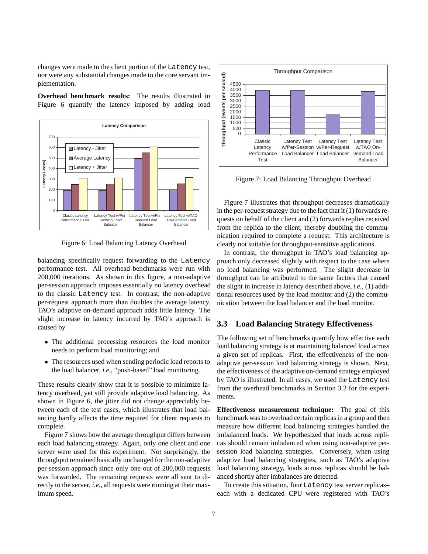changes were made to the client portion of the Latency test, nor were any substantial changes made to the core servant implementation.

**Overhead benchmark results:** The results illustrated in Figure 6 quantify the latency imposed by adding load



Figure 6: Load Balancing Latency Overhead

balancing–specifically request forwarding–to the Latency performance test. All overhead benchmarks were run with 200,000 iterations. As shown in this figure, a non-adaptive per-session approach imposes essentially no latency overhead to the classic Latency test. In contrast, the non-adaptive per-request approach more than doubles the average latency. TAO's adaptive on-demand approach adds little latency. The slight increase in latency incurred by TAO's approach is caused by

- The additional processing resources the load monitor needs to perform load monitoring; and
- The resources used when sending periodic load reports to the load balancer, *i.e.*, "push-based" load monitoring.

These results clearly show that it is possible to minimize latency overhead, yet still provide adaptive load balancing. As shown in Figure 6, the jitter did not change appreciably between each of the test cases, which illustrates that load balancing hardly affects the time required for client requests to complete.

Figure 7 shows how the average throughput differs between each load balancing strategy. Again, only one client and one server were used for this experiment. Not surprisingly, the throughput remained basically unchanged for the non-adaptive per-session approach since only one out of 200,000 requests was forwarded. The remaining requests were all sent to directly to the server, *i.e.*, all requests were running at their maximum speed.



Figure 7: Load Balancing Throughput Overhead

Figure 7 illustrates that throughput decreases dramatically in the per-request strategy due to the fact that it (1) forwards requests on behalf of the client and (2) forwards replies received from the replica to the client, thereby doubling the communication required to complete a request. This architecture is clearly not suitable for throughput-sensitive applications.

In contrast, the throughput in TAO's load balancing approach only decreased slightly with respect to the case where no load balancing was performed. The slight decrease in throughput can be attributed to the same factors that caused the slight in increase in latency described above, *i.e.*, (1) additional resources used by the load monitor and (2) the communication between the load balancer and the load monitor.

#### **3.3 Load Balancing Strategy Effectiveness**

The following set of benchmarks quantify how effective each load balancing strategy is at maintaining balanced load across a given set of replicas. First, the effectiveness of the nonadaptive per-session load balancing strategy is shown. Next, the effectiveness of the adaptive on-demand strategy employed by TAO is illustrated. In all cases, we used the Latency test from the overhead benchmarks in Section 3.2 for the experiments.

**Effectiveness measurement technique:** The goal of this benchmark was to overload certain replicas in a group and then measure how different load balancing strategies handled the imbalanced loads. We hypothesized that loads across replicas should remain imbalanced when using non-adaptive persession load balancing strategies. Conversely, when using adaptive load balancing strategies, such as TAO's adaptive load balancing strategy, loads across replicas should be balanced shortly after imbalances are detected.

To create this situation, four Latency test server replicas– each with a dedicated CPU–were registered with TAO's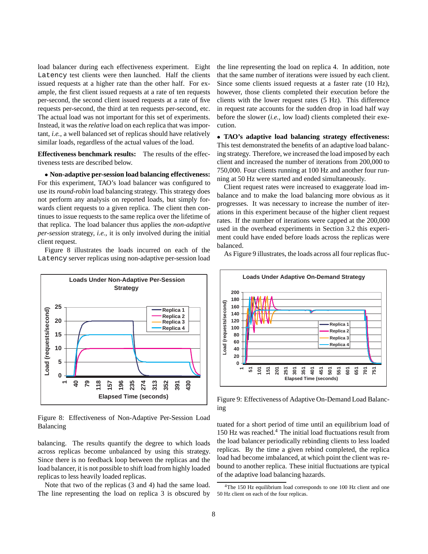load balancer during each effectiveness experiment. Eight Latency test clients were then launched. Half the clients issued requests at a higher rate than the other half. For example, the first client issued requests at a rate of ten requests per-second, the second client issued requests at a rate of five requests per-second, the third at ten requests per-second, etc. The actual load was not important for this set of experiments. Instead, it was the *relative* load on each replica that was important, *i.e.*, a well balanced set of replicas should have relatively similar loads, regardless of the actual values of the load.

**Effectiveness benchmark results:** The results of the effectiveness tests are described below.

 **Non-adaptive per-session load balancing effectiveness:** For this experiment, TAO's load balancer was configured to use its *round-robin* load balancing strategy. This strategy does not perform any analysis on reported loads, but simply forwards client requests to a given replica. The client then continues to issue requests to the same replica over the lifetime of that replica. The load balancer thus applies the *non-adaptive per-session* strategy, *i.e.*, it is only involved during the initial client request.

Figure 8 illustrates the loads incurred on each of the Latency server replicas using non-adaptive per-session load



Figure 8: Effectiveness of Non-Adaptive Per-Session Load Balancing

balancing. The results quantify the degree to which loads across replicas become unbalanced by using this strategy. Since there is no feedback loop between the replicas and the load balancer, it is not possible to shift load from highly loaded replicas to less heavily loaded replicas.

Note that two of the replicas (3 and 4) had the same load. The line representing the load on replica 3 is obscured by the line representing the load on replica 4. In addition, note that the same number of iterations were issued by each client. Since some clients issued requests at a faster rate (10 Hz), however, those clients completed their execution before the clients with the lower request rates (5 Hz). This difference in request rate accounts for the sudden drop in load half way before the slower (*i.e.*, low load) clients completed their execution.

 **TAO's adaptive load balancing strategy effectiveness:** This test demonstrated the benefits of an adaptive load balancing strategy. Therefore, we increased the load imposed by each client and increased the number of iterations from 200,000 to 750,000. Four clients running at 100 Hz and another four running at 50 Hz were started and ended simultaneously.

Client request rates were increased to exaggerate load imbalance and to make the load balancing more obvious as it progresses. It was necessary to increase the number of iterations in this experiment because of the higher client request rates. If the number of iterations were capped at the 200,000 used in the overhead experiments in Section 3.2 this experiment could have ended before loads across the replicas were balanced.

As Figure 9 illustrates, the loads across all four replicas fluc-



Figure 9: Effectiveness of Adaptive On-Demand Load Balancing

tuated for a short period of time until an equilibrium load of 150 Hz was reached.<sup>4</sup> The initial load fluctuations result from the load balancer periodically rebinding clients to less loaded replicas. By the time a given rebind completed, the replica load had become imbalanced, at which point the client was rebound to another replica. These initial fluctuations are typical of the adaptive load balancing hazards.

<sup>&</sup>lt;sup>4</sup>The 150 Hz equilibrium load corresponds to one 100 Hz client and one 50 Hz client on each of the four replicas.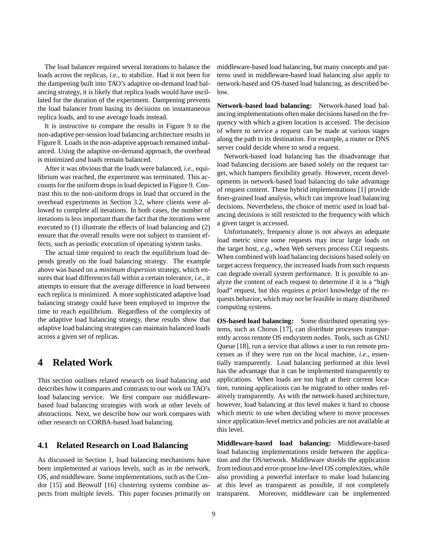The load balancer required several iterations to balance the loads across the replicas, *i.e.*, to stabilize. Had it not been for the dampening built into TAO's adaptive on-demand load balancing strategy, it is likely that replica loads would have oscillated for the duration of the experiment. Dampening prevents the load balancer from basing its decisions on instantaneous replica loads, and to use average loads instead.

It is instructive to compare the results in Figure 9 to the non-adaptive per-session load balancing architecture results in Figure 8. Loads in the non-adaptive approach remained imbalanced. Using the adaptive on-demand approach, the overhead is minimized *and* loads remain balanced.

After it was obvious that the loads were balanced, *i.e.*, equilibrium was reached, the experiment was terminated. This accounts for the uniform drops in load depicted in Figure 9. Contrast this to the non-uniform drops in load that occured in the overhead experiments in Section 3.2, where clients were allowed to complete all iterations. In both cases, the number of iterations is less important than the fact that the iterations were executed to (1) illustrate the effects of load balancing and (2) ensure that the overall results were not subject to transient effects, such as periodic execution of operating system tasks.

The actual time required to reach the equilibrium load depends greatly on the load balancing strategy. The example above was based on a *minimum dispersion* strategy, which ensures that load differences fall within a certain tolerance, *i.e.*, it attempts to ensure that the average difference in load between each replica is minimized. A more sophisticated adaptive load balancing strategy could have been employed to improve the time to reach equilibrium. Regardless of the complexity of the adaptive load balancing strategy, these results show that adaptive load balancing strategies can maintain balanced loads across a given set of replicas.

## **4 Related Work**

This section outlines related research on load balancing and describes how it compares and contrasts to our work on TAO's load balancing service. We first compare our middlewarebased load balancing strategies with work at other levels of abstractions. Next, we describe how our work compares with other research on CORBA-based load balancing.

#### **4.1 Related Research on Load Balancing**

As discussed in Section 1, load balancing mechanisms have been implemented at various levels, such as in the network, OS, and middleware. Some implementations, such as the Condor [15] and Beowulf [16] clustering systems combine aspects from multiple levels. This paper focuses primarily on middleware-based load balancing, but many concepts and patterns used in middleware-based load balancing also apply to network-based and OS-based load balancing, as described below.

**Network-based load balancing:** Network-based load balancing implementations often make decisions based on the frequency with which a given location is accessed. The decision of where to service a request can be made at various stages along the path to its destination. For example, a router or DNS server could decide where to send a request.

Network-based load balancing has the disadvantage that load balancing decisions are based solely on the request target, which hampers flexibility greatly. However, recent developments in network-based load balancing do take advantage of request content. These hybrid implementations [1] provide finer-grained load analysis, which can improve load balancing decisions. Nevertheless, the choice of metric used in load balancing decisions is still restricted to the frequency with which a given target is accessed.

Unfortunately, frequency alone is not always an adequate load metric since some requests may incur large loads on the target host, *e.g.*, when Web servers process CGI requests. When combined with load balancing decisions based solely on target access frequency, the increased loads from such requests can degrade overall system performance. It is possible to analyze the content of each request to determine if it is a "high load" request, but this requires *a priori* knowledge of the requests behavior, which may not be feasible in many distributed computing systems.

**OS-based load balancing:** Some distributed operating systems, such as Chorus [17], can distribute processes transparently across remote OS endsystem nodes. Tools, such as GNU Queue [18], run a service that allows a user to run remote processes as if they were run on the local machine, *i.e.*, essentially transparently. Load balancing performed at this level has the advantage that it can be implemented transparently to applications. When loads are too high at their current location, running applications can be migrated to other nodes relatively transparently. As with the network-based architecture, however, load balancing at this level makes it hard to choose which metric to use when deciding where to move processes since application-level metrics and policies are not available at this level.

**Middleware-based load balancing:** Middleware-based load balancing implementations reside between the application and the OS/network. Middleware shields the application from tedious and error-prone low-level OS complexities, while also providing a powerful interface to make load balancing at this level as transparent as possible, if not completely transparent. Moreover, middleware can be implemented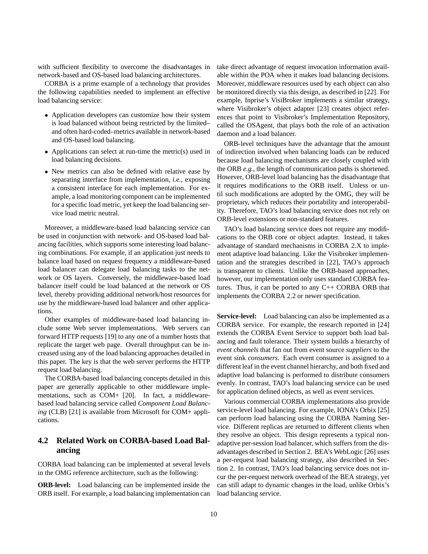with sufficient flexibility to overcome the disadvantages in network-based and OS-based load balancing architectures.

CORBA is a prime example of a technology that provides the following capabilities needed to implement an effective load balancing service:

- Application developers can customize how their system is load balanced without being restricted by the limited– and often hard-coded–metrics available in network-based and OS-based load balancing.
- Applications can select at run-time the metric(s) used in load balancing decisions.
- New metrics can also be defined with relative ease by separating interface from implementation, *i.e.*, exposing a consistent interface for each implementation. For example, a load monitoring component can be implemented for a specific load metric, yet keep the load balancing service load metric neutral.

Moreover, a middleware-based load balancing service can be used in conjunction with network- and OS-based load balancing facilities, which supports some interesting load balancing combinations. For example, if an application just needs to balance load based on request frequency a middleware-based load balancer can delegate load balancing tasks to the network or OS layers. Conversely, the middleware-based load balancer itself could be load balanced at the network or OS level, thereby providing additional network/host resources for use by the middleware-based load balancer and other applications.

Other examples of middleware-based load balancing include some Web server implementations. Web servers can forward HTTP requests [19] to any one of a number hosts that replicate the target web page. Overall throughput can be increased using any of the load balancing approaches detailed in this paper. The key is that the web server performs the HTTP request load balancing.

The CORBA-based load balancing concepts detailed in this paper are generally applicable to other middleware implementations, such as COM+ [20]. In fact, a middlewarebased load balancing service called *Component Load Balancing* (CLB) [21] is available from Microsoft for COM+ applications.

### **4.2 Related Work on CORBA-based Load Balancing**

CORBA load balancing can be implemented at several levels in the OMG reference architecture, such as the following:

**ORB-level:** Load balancing can be implemented inside the ORB itself. For example, a load balancing implementation can

take direct advantage of request invocation information available within the POA when it makes load balancing decisions. Moreover, middleware resources used by each object can also be monitored directly via this design, as described in [22]. For example, Inprise's VisiBroker implements a similar strategy, where Visibroker's object adapter [23] creates object references that point to Visibroker's Implementation Repository, called the OSAgent, that plays both the role of an activation daemon and a load balancer.

ORB-level techniques have the advantage that the amount of indirection involved when balancing loads can be reduced because load balancing mechanisms are closely coupled with the ORB *e.g.*, the length of communication paths is shortened. However, ORB-level load balancing has the disadvantage that it requires modifications to the ORB itself. Unless or until such modifications are adopted by the OMG, they will be proprietary, which reduces their portability and interoperability. Therefore, TAO's load balancing service does not rely on ORB-level extensions or non-standard features.

TAO's load balancing service does not require any modifications to the ORB core or object adapter. Instead, it takes advantage of standard mechanisms in CORBA 2.X to implement adaptive load balancing. Like the Visibroker implementation and the strategies described in [22], TAO's approach is transparent to clients. Unlike the ORB-based approaches, however, our implementation only uses standard CORBA features. Thus, it can be ported to any  $C_{++}$  CORBA ORB that implements the CORBA 2.2 or newer specification.

**Service-level:** Load balancing can also be implemented as a CORBA service. For example, the research reported in [24] extends the CORBA Event Service to support both load balancing and fault tolerance. Their system builds a hierarchy of *event channels* that fan out from event source *suppliers* to the event sink *consumers*. Each event consumer is assigned to a different leaf in the event channel hierarchy, and both fixed and adaptive load balancing is performed to distribute consumers evenly. In contrast, TAO's load balancing service can be used for application defined objects, as well as event services.

Various commercial CORBA implementations also provide service-level load balancing. For example, IONA's Orbix [25] can perform load balancing using the CORBA Naming Service. Different replicas are returned to different clients when they resolve an object. This design represents a typical nonadaptive per-session load balancer, which suffers from the disadvantages described in Section 2. BEA's WebLogic [26] uses a per-request load balancing strategy, also described in Section 2. In contrast, TAO's load balancing service does not incur the per-request network overhead of the BEA strategy, yet can still adapt to dynamic changes in the load, unlike Orbix's load balancing service.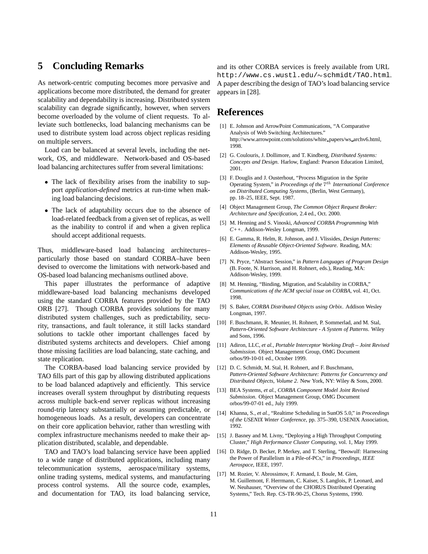### **5 Concluding Remarks**

As network-centric computing becomes more pervasive and applications become more distributed, the demand for greater scalability and dependability is increasing. Distributed system scalability can degrade significantly, however, when servers become overloaded by the volume of client requests. To alleviate such bottlenecks, load balancing mechanisms can be used to distribute system load across object replicas residing on multiple servers.

Load can be balanced at several levels, including the network, OS, and middleware. Network-based and OS-based load balancing architectures suffer from several limitations:

- The lack of flexibility arises from the inability to support *application-defined* metrics at run-time when making load balancing decisions.
- The lack of adaptability occurs due to the absence of load-related feedback from a given set of replicas, as well as the inability to control if and when a given replica should accept additional requests.

Thus, middleware-based load balancing architectures– particularly those based on standard CORBA–have been devised to overcome the limitations with network-based and OS-based load balancing mechanisms outlined above.

This paper illustrates the performance of adaptive middleware-based load balancing mechanisms developed using the standard CORBA features provided by the TAO ORB [27]. Though CORBA provides solutions for many distributed system challenges, such as predictability, security, transactions, and fault tolerance, it still lacks standard solutions to tackle other important challenges faced by distributed systems architects and developers. Chief among those missing facilities are load balancing, state caching, and state replication.

The CORBA-based load balancing service provided by TAO fills part of this gap by allowing distributed applications to be load balanced adaptively and efficiently. This service increases overall system throughput by distributing requests across multiple back-end server replicas without increasing round-trip latency substantially or assuming predictable, or homogeneous loads. As a result, developers can concentrate on their core application behavior, rather than wrestling with complex infrastructure mechanisms needed to make their application distributed, scalable, and dependable.

TAO and TAO's load balancing service have been applied to a wide range of distributed applications, including many telecommunication systems, aerospace/military systems, online trading systems, medical systems, and manufacturing process control systems. All the source code, examples, and documentation for TAO, its load balancing service,

and its other CORBA services is freely available from URL http://www.cs.wustl.edu/~schmidt/TAO.html. A paper describing the design of TAO's load balancing service appears in [28].

### **References**

- [1] E. Johnson and ArrowPoint Communications, "A Comparative Analysis of Web Switching Architectures." http://www.arrowpoint.com/solutions/white papers/ws archv6.html, 1998.
- [2] G. Coulouris, J. Dollimore, and T. Kindberg, *Distributed Systems: Concepts and Design*. Harlow, England: Pearson Education Limited, 2001.
- [3] F. Douglis and J. Ousterhout, "Process Migration in the Sprite Operating System," in *Proceedings of the* <sup>7</sup>th *International Conference on Distributed Computing Systems*, (Berlin, West Germany), pp. 18–25, IEEE, Sept. 1987.
- [4] Object Management Group, *The Common Object Request Broker: Architecture and Specification*, 2.4 ed., Oct. 2000.
- [5] M. Henning and S. Vinoski, *Advanced CORBA Programming With C++*. Addison-Wesley Longman, 1999.
- [6] E. Gamma, R. Helm, R. Johnson, and J. Vlissides, *Design Patterns: Elements of Reusable Object-Oriented Software*. Reading, MA: Addison-Wesley, 1995.
- [7] N. Pryce, "Abstract Session," in *Pattern Languages of Program Design* (B. Foote, N. Harrison, and H. Rohnert, eds.), Reading, MA: Addison-Wesley, 1999.
- [8] M. Henning, "Binding, Migration, and Scalability in CORBA," *Communications of the ACM special issue on CORBA*, vol. 41, Oct. 1998.
- [9] S. Baker, *CORBA Distributed Objects using Orbix*. Addison Wesley Longman, 1997.
- [10] F. Buschmann, R. Meunier, H. Rohnert, P. Sommerlad, and M. Stal, *Pattern-Oriented Software Architecture - A System of Patterns*. Wiley and Sons, 1996.
- [11] Adiron, LLC, *et al.*, *Portable Interceptor Working Draft Joint Revised Submission*. Object Management Group, OMG Document orbos/99-10-01 ed., October 1999.
- [12] D. C. Schmidt, M. Stal, H. Rohnert, and F. Buschmann, *Pattern-Oriented Software Architecture: Patterns for Concurrency and Distributed Objects, Volume 2*. New York, NY: Wiley & Sons, 2000.
- [13] BEA Systems, *et al.*, *CORBA Component Model Joint Revised Submission*. Object Management Group, OMG Document orbos/99-07-01 ed., July 1999.
- [14] Khanna, S., *et al.*, "Realtime Scheduling in SunOS 5.0," in *Proceedings of the USENIX Winter Conference*, pp. 375–390, USENIX Association, 1992.
- [15] J. Basney and M. Livny, "Deploying a High Throughput Computing Cluster," *High Performance Cluster Computing*, vol. 1, May 1999.
- [16] D. Ridge, D. Becker, P. Merkey, and T. Sterling, "Beowulf: Harnessing the Power of Parallelism in a Pile-of-PCs," in *Proceedings, IEEE Aerospace*, IEEE, 1997.
- [17] M. Rozier, V. Abrossimov, F. Armand, I. Boule, M. Gien, M. Guillemont, F. Herrmann, C. Kaiser, S. Langlois, P. Leonard, and W. Neuhauser, "Overview of the CHORUS Distributed Operating Systems," Tech. Rep. CS-TR-90-25, Chorus Systems, 1990.